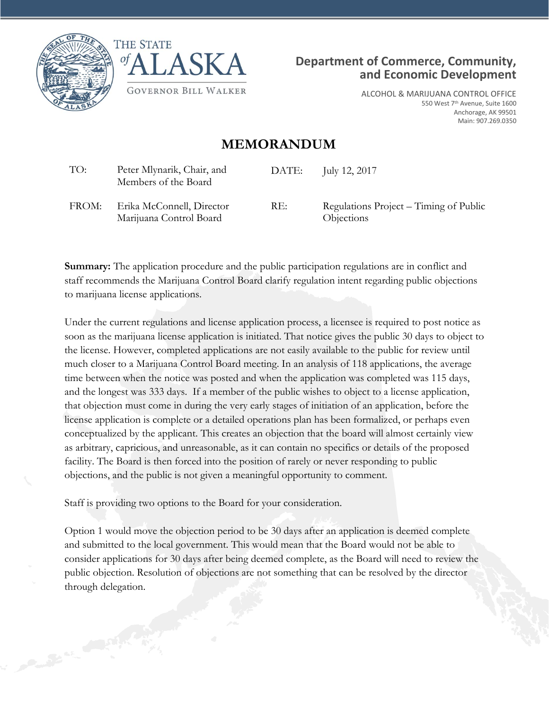





ALCOHOL & MARIJUANA CONTROL OFFICE 550 West 7<sup>th</sup> Avenue, Suite 1600 Anchorage, AK 99501 Main: 907.269.0350

## **MEMORANDUM**

| TO:   | Peter Mlynarik, Chair, and<br>Members of the Board   | DATE: | July 12, 2017                                                      |
|-------|------------------------------------------------------|-------|--------------------------------------------------------------------|
| FROM: | Erika McConnell, Director<br>Marijuana Control Board | RE:   | Regulations Project – Timing of Public<br><i><b>Objections</b></i> |

**Summary:** The application procedure and the public participation regulations are in conflict and staff recommends the Marijuana Control Board clarify regulation intent regarding public objections to marijuana license applications.

Under the current regulations and license application process, a licensee is required to post notice as soon as the marijuana license application is initiated. That notice gives the public 30 days to object to the license. However, completed applications are not easily available to the public for review until much closer to a Marijuana Control Board meeting. In an analysis of 118 applications, the average time between when the notice was posted and when the application was completed was 115 days, and the longest was 333 days. If a member of the public wishes to object to a license application, that objection must come in during the very early stages of initiation of an application, before the license application is complete or a detailed operations plan has been formalized, or perhaps even conceptualized by the applicant. This creates an objection that the board will almost certainly view as arbitrary, capricious, and unreasonable, as it can contain no specifics or details of the proposed facility. The Board is then forced into the position of rarely or never responding to public objections, and the public is not given a meaningful opportunity to comment.

Staff is providing two options to the Board for your consideration.

Option 1 would move the objection period to be 30 days after an application is deemed complete and submitted to the local government. This would mean that the Board would not be able to consider applications for 30 days after being deemed complete, as the Board will need to review the public objection. Resolution of objections are not something that can be resolved by the director through delegation.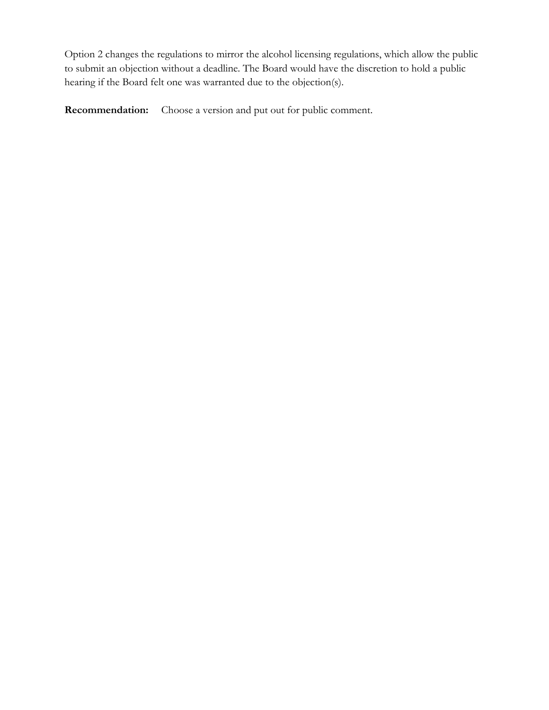Option 2 changes the regulations to mirror the alcohol licensing regulations, which allow the public to submit an objection without a deadline. The Board would have the discretion to hold a public hearing if the Board felt one was warranted due to the objection(s).

**Recommendation:** Choose a version and put out for public comment.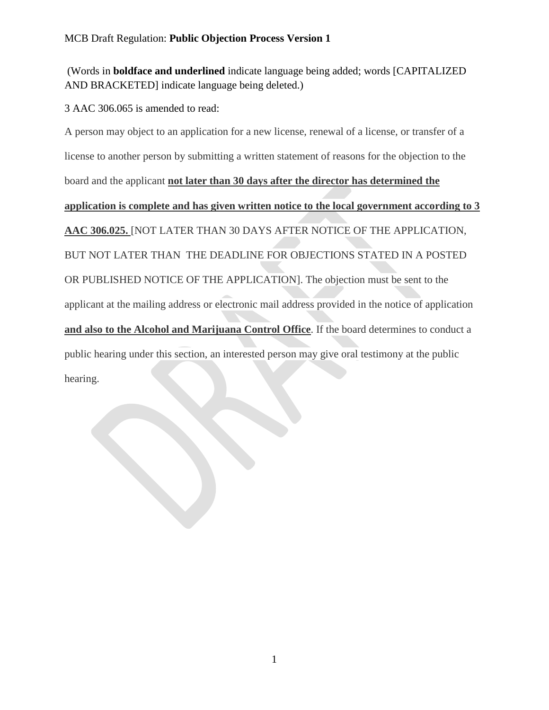## (Words in **boldface and underlined** indicate language being added; words [CAPITALIZED AND BRACKETED] indicate language being deleted.)

3 AAC 306.065 is amended to read:

A person may object to an application for a new license, renewal of a license, or transfer of a license to another person by submitting a written statement of reasons for the objection to the board and the applicant **not later than 30 days after the director has determined the application is complete and has given written notice to the local government according to 3 AAC 306.025.** [NOT LATER THAN 30 DAYS AFTER NOTICE OF THE APPLICATION, BUT NOT LATER THAN THE DEADLINE FOR OBJECTIONS STATED IN A POSTED OR PUBLISHED NOTICE OF THE APPLICATION]. The objection must be sent to the applicant at the mailing address or electronic mail address provided in the notice of application **and also to the Alcohol and Marijuana Control Office**. If the board determines to conduct a public hearing under this section, an interested person may give oral testimony at the public hearing.